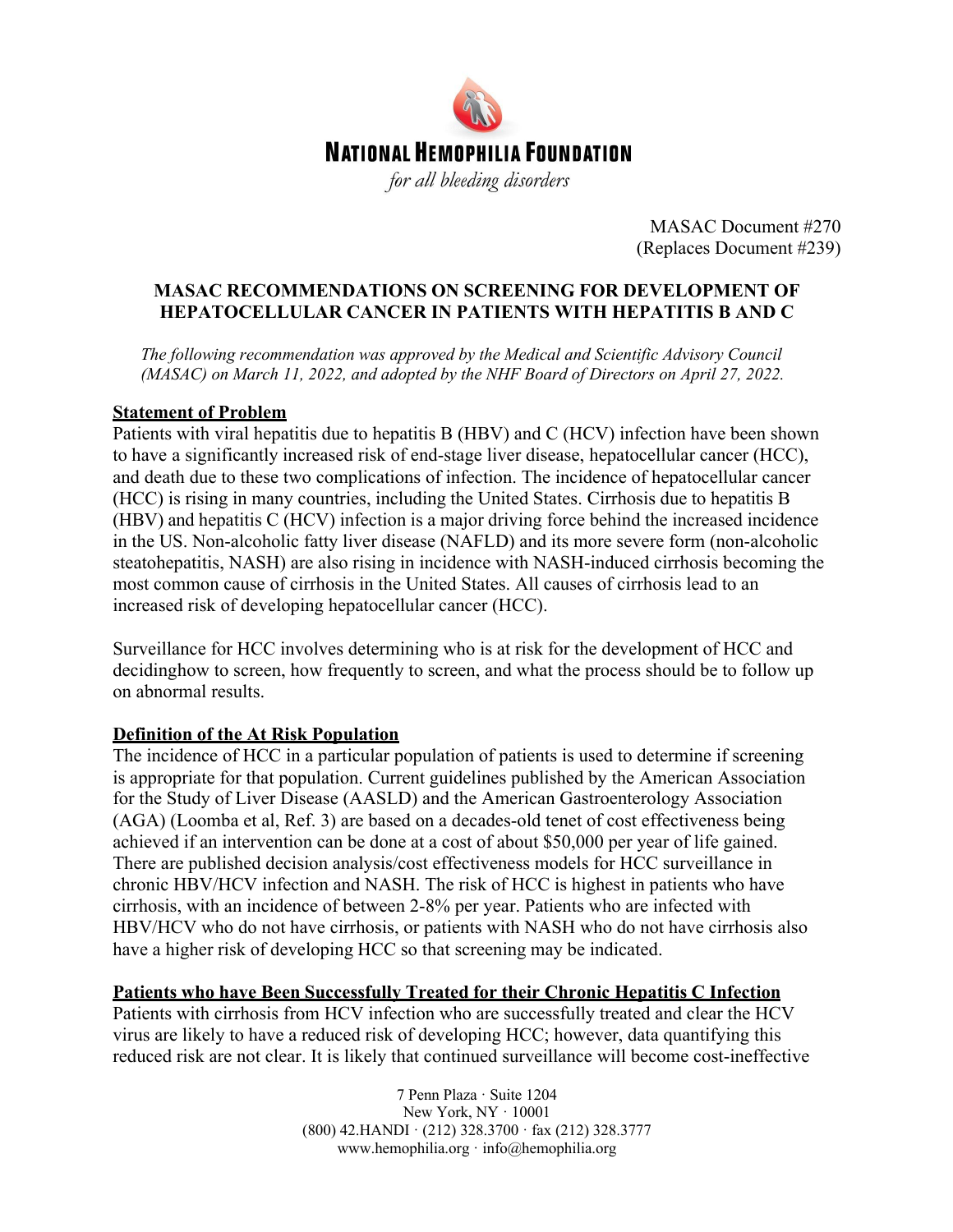

MASAC Document #270 (Replaces Document #239)

### **MASAC RECOMMENDATIONS ON SCREENING FOR DEVELOPMENT OF HEPATOCELLULAR CANCER IN PATIENTS WITH HEPATITIS B AND C**

*The following recommendation was approved by the Medical and Scientific Advisory Council (MASAC) on March 11, 2022, and adopted by the NHF Board of Directors on April 27, 2022.*

#### **Statement of Problem**

Patients with viral hepatitis due to hepatitis B (HBV) and C (HCV) infection have been shown to have a significantly increased risk of end-stage liver disease, hepatocellular cancer (HCC), and death due to these two complications of infection. The incidence of hepatocellular cancer (HCC) is rising in many countries, including the United States. Cirrhosis due to hepatitis B (HBV) and hepatitis C (HCV) infection is a major driving force behind the increased incidence in the US. Non-alcoholic fatty liver disease (NAFLD) and its more severe form (non-alcoholic steatohepatitis, NASH) are also rising in incidence with NASH-induced cirrhosis becoming the most common cause of cirrhosis in the United States. All causes of cirrhosis lead to an increased risk of developing hepatocellular cancer (HCC).

Surveillance for HCC involves determining who is at risk for the development of HCC and decidinghow to screen, how frequently to screen, and what the process should be to follow up on abnormal results.

#### **Definition of the At Risk Population**

The incidence of HCC in a particular population of patients is used to determine if screening is appropriate for that population. Current guidelines published by the American Association for the Study of Liver Disease (AASLD) and the American Gastroenterology Association (AGA) (Loomba et al, Ref. 3) are based on a decades-old tenet of cost effectiveness being achieved if an intervention can be done at a cost of about \$50,000 per year of life gained. There are published decision analysis/cost effectiveness models for HCC surveillance in chronic HBV/HCV infection and NASH. The risk of HCC is highest in patients who have cirrhosis, with an incidence of between 2-8% per year. Patients who are infected with HBV/HCV who do not have cirrhosis, or patients with NASH who do not have cirrhosis also have a higher risk of developing HCC so that screening may be indicated.

#### **Patients who have Been Successfully Treated for their Chronic Hepatitis C Infection**

Patients with cirrhosis from HCV infection who are successfully treated and clear the HCV virus are likely to have a reduced risk of developing HCC; however, data quantifying this reduced risk are not clear. It is likely that continued surveillance will become cost-ineffective

> 7 Penn Plaza · Suite 1204 New York, NY · 10001 (800) 42.HANDI · (212) 328.3700 · fax (212) 328.3777 www.hemophilia.org · info@hemophilia.org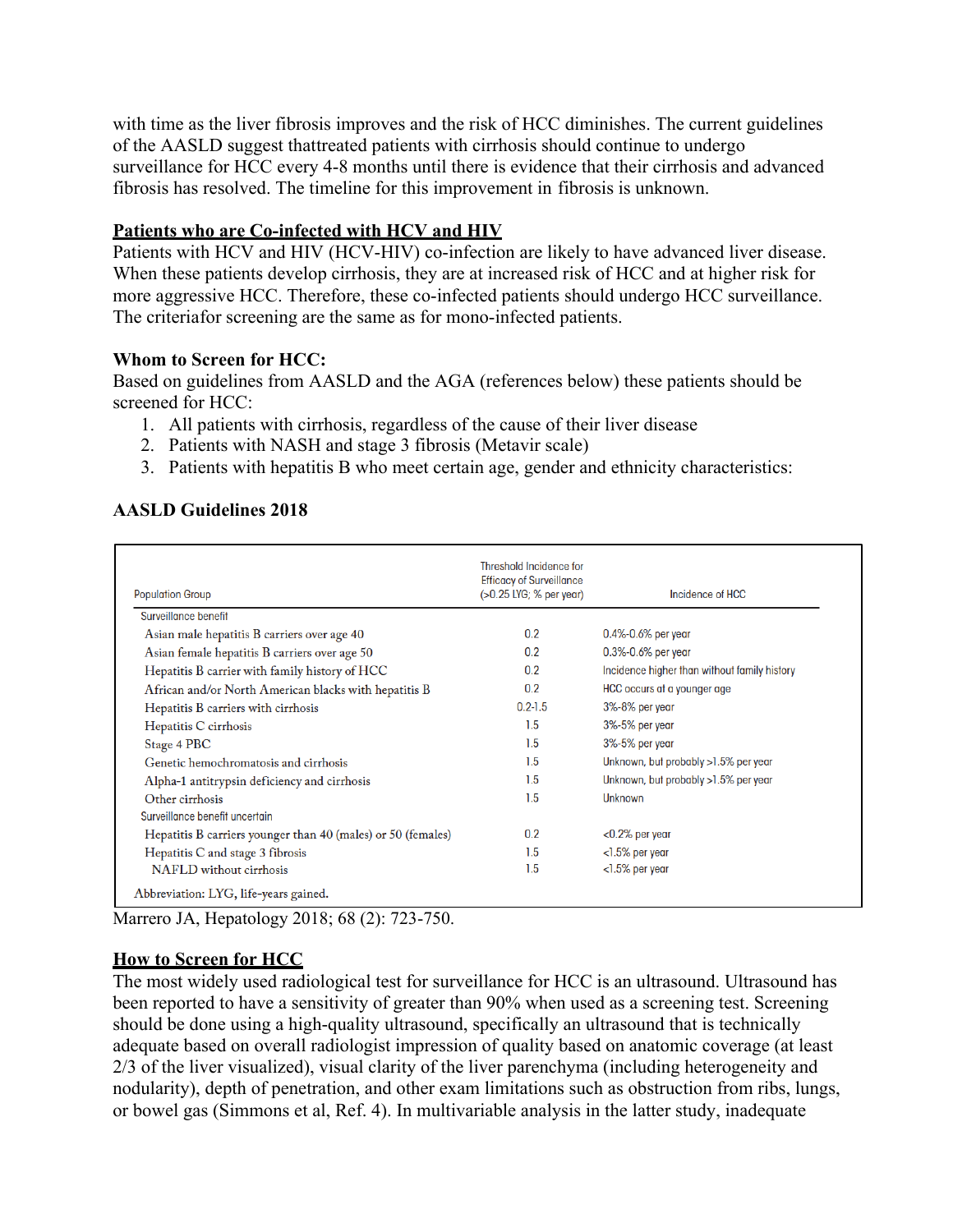with time as the liver fibrosis improves and the risk of HCC diminishes. The current guidelines of the AASLD suggest thattreated patients with cirrhosis should continue to undergo surveillance for HCC every 4-8 months until there is evidence that their cirrhosis and advanced fibrosis has resolved. The timeline for this improvement in fibrosis is unknown.

### **Patients who are Co-infected with HCV and HIV**

Patients with HCV and HIV (HCV-HIV) co-infection are likely to have advanced liver disease. When these patients develop cirrhosis, they are at increased risk of HCC and at higher risk for more aggressive HCC. Therefore, these co-infected patients should undergo HCC surveillance. The criteriafor screening are the same as for mono-infected patients.

#### **Whom to Screen for HCC:**

Based on guidelines from AASLD and the AGA (references below) these patients should be screened for HCC:

- 1. All patients with cirrhosis, regardless of the cause of their liver disease
- 2. Patients with NASH and stage 3 fibrosis (Metavir scale)
- 3. Patients with hepatitis B who meet certain age, gender and ethnicity characteristics:

### **AASLD Guidelines 2018**

| <b>Population Group</b>                                      | <b>Threshold Incidence for</b><br><b>Efficacy of Surveillance</b><br>(>0.25 LYG; % per year) | Incidence of HCC                             |
|--------------------------------------------------------------|----------------------------------------------------------------------------------------------|----------------------------------------------|
| Surveillance benefit                                         |                                                                                              |                                              |
| Asian male hepatitis B carriers over age 40                  | 0.2                                                                                          | $0.4\% - 0.6\%$ per year                     |
| Asian female hepatitis B carriers over age 50                | 0.2                                                                                          | $0.3\% - 0.6\%$ per year                     |
| Hepatitis B carrier with family history of HCC               | 0.2                                                                                          | Incidence higher than without family history |
| African and/or North American blacks with hepatitis B        | 0.2                                                                                          | HCC occurs at a younger age                  |
| Hepatitis B carriers with cirrhosis                          | $0.2 - 1.5$                                                                                  | 3%-8% per year                               |
| Hepatitis C cirrhosis                                        | 1.5                                                                                          | 3%-5% per year                               |
| Stage 4 PBC                                                  | 1.5                                                                                          | 3%-5% per year                               |
| Genetic hemochromatosis and cirrhosis                        | 1.5                                                                                          | Unknown, but probably >1.5% per year         |
| Alpha-1 antitrypsin deficiency and cirrhosis                 | 1.5                                                                                          | Unknown, but probably >1.5% per year         |
| Other cirrhosis                                              | 1.5                                                                                          | Unknown                                      |
| Surveillance benefit uncertain                               |                                                                                              |                                              |
| Hepatitis B carriers younger than 40 (males) or 50 (females) | 0.2                                                                                          | $<$ 0.2% per year                            |
| Hepatitis C and stage 3 fibrosis                             | 1.5                                                                                          | $<$ 1.5% per year                            |
| NAFLD without cirrhosis                                      | 1.5                                                                                          | $<$ 1.5% per year                            |
| Abbreviation: LYG, life-years gained.                        |                                                                                              |                                              |

Marrero JA, Hepatology 2018; 68 (2): 723-750.

### **How to Screen for HCC**

The most widely used radiological test for surveillance for HCC is an ultrasound. Ultrasound has been reported to have a sensitivity of greater than 90% when used as a screening test. Screening should be done using a high-quality ultrasound, specifically an ultrasound that is technically adequate based on overall radiologist impression of quality based on anatomic coverage (at least 2/3 of the liver visualized), visual clarity of the liver parenchyma (including heterogeneity and nodularity), depth of penetration, and other exam limitations such as obstruction from ribs, lungs, or bowel gas (Simmons et al, Ref. 4). In multivariable analysis in the latter study, inadequate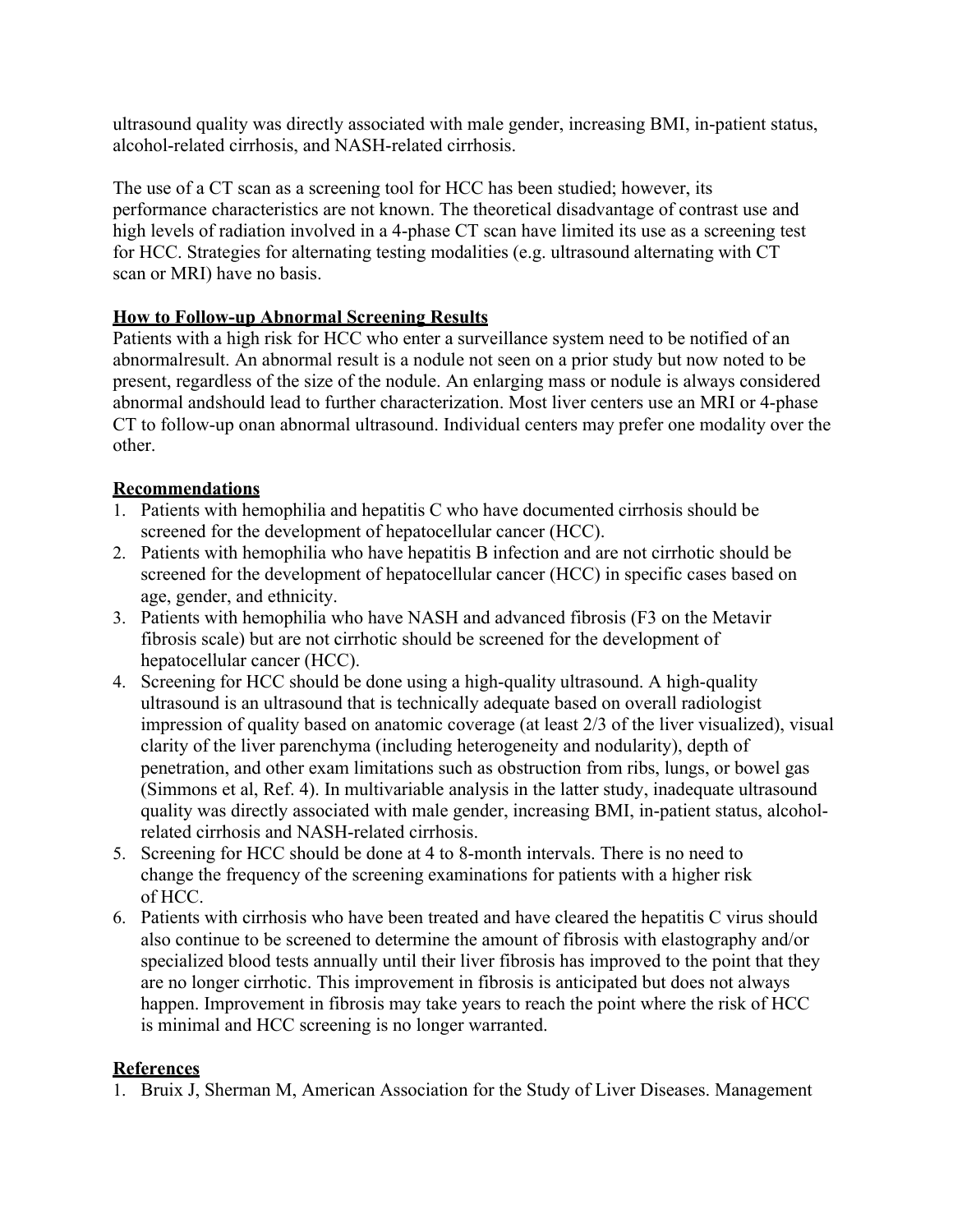ultrasound quality was directly associated with male gender, increasing BMI, in-patient status, alcohol-related cirrhosis, and NASH-related cirrhosis.

The use of a CT scan as a screening tool for HCC has been studied; however, its performance characteristics are not known. The theoretical disadvantage of contrast use and high levels of radiation involved in a 4-phase CT scan have limited its use as a screening test for HCC. Strategies for alternating testing modalities (e.g. ultrasound alternating with CT scan or MRI) have no basis.

# **How to Follow-up Abnormal Screening Results**

Patients with a high risk for HCC who enter a surveillance system need to be notified of an abnormalresult. An abnormal result is a nodule not seen on a prior study but now noted to be present, regardless of the size of the nodule. An enlarging mass or nodule is always considered abnormal andshould lead to further characterization. Most liver centers use an MRI or 4-phase CT to follow-up onan abnormal ultrasound. Individual centers may prefer one modality over the other.

# **Recommendations**

- 1. Patients with hemophilia and hepatitis C who have documented cirrhosis should be screened for the development of hepatocellular cancer (HCC).
- 2. Patients with hemophilia who have hepatitis B infection and are not cirrhotic should be screened for the development of hepatocellular cancer (HCC) in specific cases based on age, gender, and ethnicity.
- 3. Patients with hemophilia who have NASH and advanced fibrosis (F3 on the Metavir fibrosis scale) but are not cirrhotic should be screened for the development of hepatocellular cancer (HCC).
- 4. Screening for HCC should be done using a high-quality ultrasound. A high-quality ultrasound is an ultrasound that is technically adequate based on overall radiologist impression of quality based on anatomic coverage (at least 2/3 of the liver visualized), visual clarity of the liver parenchyma (including heterogeneity and nodularity), depth of penetration, and other exam limitations such as obstruction from ribs, lungs, or bowel gas (Simmons et al, Ref. 4). In multivariable analysis in the latter study, inadequate ultrasound quality was directly associated with male gender, increasing BMI, in-patient status, alcoholrelated cirrhosis and NASH-related cirrhosis.
- 5. Screening for HCC should be done at 4 to 8-month intervals. There is no need to change the frequency of the screening examinations for patients with a higher risk of HCC.
- 6. Patients with cirrhosis who have been treated and have cleared the hepatitis C virus should also continue to be screened to determine the amount of fibrosis with elastography and/or specialized blood tests annually until their liver fibrosis has improved to the point that they are no longer cirrhotic. This improvement in fibrosis is anticipated but does not always happen. Improvement in fibrosis may take years to reach the point where the risk of HCC is minimal and HCC screening is no longer warranted.

# **References**

1. Bruix J, Sherman M, American Association for the Study of Liver Diseases. Management